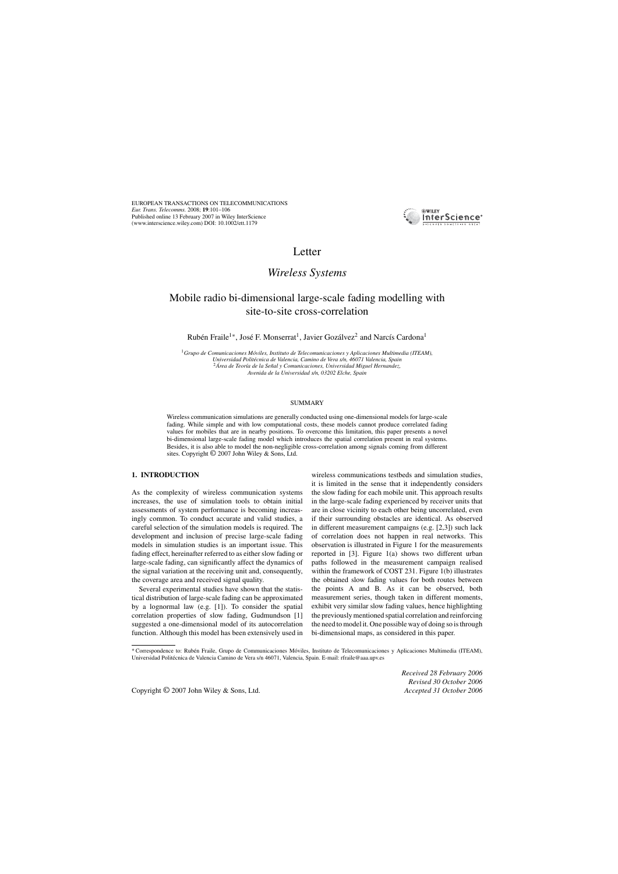

# Letter

# *Wireless Systems*

# Mobile radio bi-dimensional large-scale fading modelling with site-to-site cross-correlation

Rubén Fraile<sup>1∗</sup>, José F. Monserrat<sup>1</sup>, Javier Gozálvez<sup>2</sup> and Narcís Cardona<sup>1</sup>

<sup>1</sup>Grupo de Comunicaciones Móviles, Instituto de Telecomunicaciones y Aplicaciones Multimedia (ITEAM),<br>Universidad Politécnica de Valencia, Camino de Vera s/n, 46071 Valencia, Spain *Universidad Polit´ecnica de Valencia, Camino de Vera s/n, 46071 Valencia, Spain* <sup>2</sup>*Area de Teor´ ´ ıa de la Se ˜nal y Comunicaciones, Universidad Miguel Hernandez, Avenida de la Universidad s/n, 03202 Elche, Spain*

### SUMMARY

Wireless communication simulations are generally conducted using one-dimensional models for large-scale fading. While simple and with low computational costs, these models cannot produce correlated fading values for mobiles that are in nearby positions. To overcome this limitation, this paper presents a novel bi-dimensional large-scale fading model which introduces the spatial correlation present in real systems. Besides, it is also able to model the non-negligible cross-correlation among signals coming from different sites. Copyright © 2007 John Wiley & Sons, Ltd.

# **1. INTRODUCTION**

As the complexity of wireless communication systems increases, the use of simulation tools to obtain initial assessments of system performance is becoming increasingly common. To conduct accurate and valid studies, a careful selection of the simulation models is required. The development and inclusion of precise large-scale fading models in simulation studies is an important issue. This fading effect, hereinafter referred to as either slow fading or large-scale fading, can significantly affect the dynamics of the signal variation at the receiving unit and, consequently, the coverage area and received signal quality.

Several experimental studies have shown that the statistical distribution of large-scale fading can be approximated by a lognormal law (e.g. [1]). To consider the spatial correlation properties of slow fading, Gudmundson [1] suggested a one-dimensional model of its autocorrelation function. Although this model has been extensively used in wireless communications testbeds and simulation studies, it is limited in the sense that it independently considers the slow fading for each mobile unit. This approach results in the large-scale fading experienced by receiver units that are in close vicinity to each other being uncorrelated, even if their surrounding obstacles are identical. As observed in different measurement campaigns (e.g. [2,3]) such lack of correlation does not happen in real networks. This observation is illustrated in Figure 1 for the measurements reported in [3]. Figure 1(a) shows two different urban paths followed in the measurement campaign realised within the framework of COST 231. Figure 1(b) illustrates the obtained slow fading values for both routes between the points A and B. As it can be observed, both measurement series, though taken in different moments, exhibit very similar slow fading values, hence highlighting the previously mentioned spatial correlation and reinforcing the need to model it. One possible way of doing so is through bi-dimensional maps, as considered in this paper.

*Received 28 February 2006 Revised 30 October 2006*

<sup>\*</sup> Correspondence to: Ruben Fraile, Grupo de Communicaciones M ´ oviles, Instituto de Telecomunicaciones y Aplicaciones Multimedia (ITEAM), ´ Universidad Politécnica de Valencia Camino de Vera s/n 46071, Valencia, Spain. E-mail: rfraile@aaa.upv.es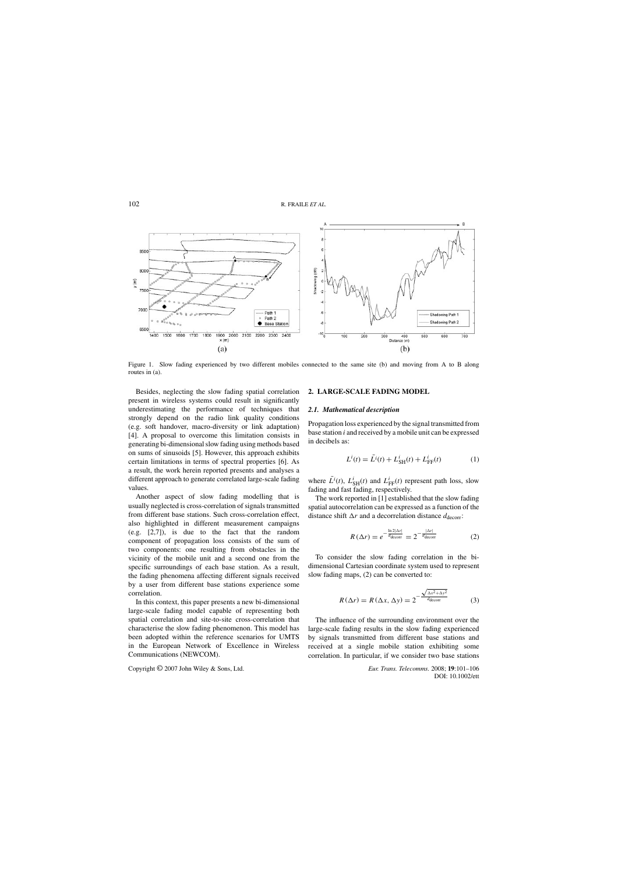

Figure 1. Slow fading experienced by two different mobiles connected to the same site (b) and moving from A to B along routes in (a).

Besides, neglecting the slow fading spatial correlation present in wireless systems could result in significantly underestimating the performance of techniques that strongly depend on the radio link quality conditions (e.g. soft handover, macro-diversity or link adaptation) [4]. A proposal to overcome this limitation consists in generating bi-dimensional slow fading using methods based on sums of sinusoids [5]. However, this approach exhibits certain limitations in terms of spectral properties [6]. As a result, the work herein reported presents and analyses a different approach to generate correlated large-scale fading values.

Another aspect of slow fading modelling that is usually neglected is cross-correlation of signals transmitted from different base stations. Such cross-correlation effect, also highlighted in different measurement campaigns (e.g. [2,7]), is due to the fact that the random component of propagation loss consists of the sum of two components: one resulting from obstacles in the vicinity of the mobile unit and a second one from the specific surroundings of each base station. As a result, the fading phenomena affecting different signals received by a user from different base stations experience some correlation.

In this context, this paper presents a new bi-dimensional large-scale fading model capable of representing both spatial correlation and site-to-site cross-correlation that characterise the slow fading phenomenon. This model has been adopted within the reference scenarios for UMTS in the European Network of Excellence in Wireless Communications (NEWCOM).

## **2. LARGE-SCALE FADING MODEL**

## *2.1. Mathematical description*

Propagation loss experienced by the signal transmitted from base station  $i$  and received by a mobile unit can be expressed in decibels as:

$$
L^{i}(t) = \bar{L}^{i}(t) + L_{\text{SH}}^{i}(t) + L_{\text{FF}}^{i}(t)
$$
 (1)

where  $\bar{L}^i(t)$ ,  $L^i_{SH}(t)$  and  $L^i_{FF}(t)$  represent path loss, slow fading and fast fading, respectively.

The work reported in [1] established that the slow fading spatial autocorrelation can be expressed as a function of the distance shift  $\Delta r$  and a decorrelation distance  $d_{\text{decorr}}$ :

$$
R\left(\Delta r\right) = e^{-\frac{\ln 2|\Delta r|}{d_{\text{decorr}}}} = 2^{-\frac{|\Delta r|}{d_{\text{decorr}}}}\tag{2}
$$

To consider the slow fading correlation in the bidimensional Cartesian coordinate system used to represent slow fading maps, (2) can be converted to:

$$
R(\Delta r) = R(\Delta x, \Delta y) = 2^{-\frac{\sqrt{\Delta x^2 + \Delta y^2}}{d_{\text{decorr}}}}
$$
(3)

The influence of the surrounding environment over the large-scale fading results in the slow fading experienced by signals transmitted from different base stations and received at a single mobile station exhibiting some correlation. In particular, if we consider two base stations

Copyright © 2007 John Wiley & Sons, Ltd. *Eur. Trans. Telecomms.* 2008; **19**:101–106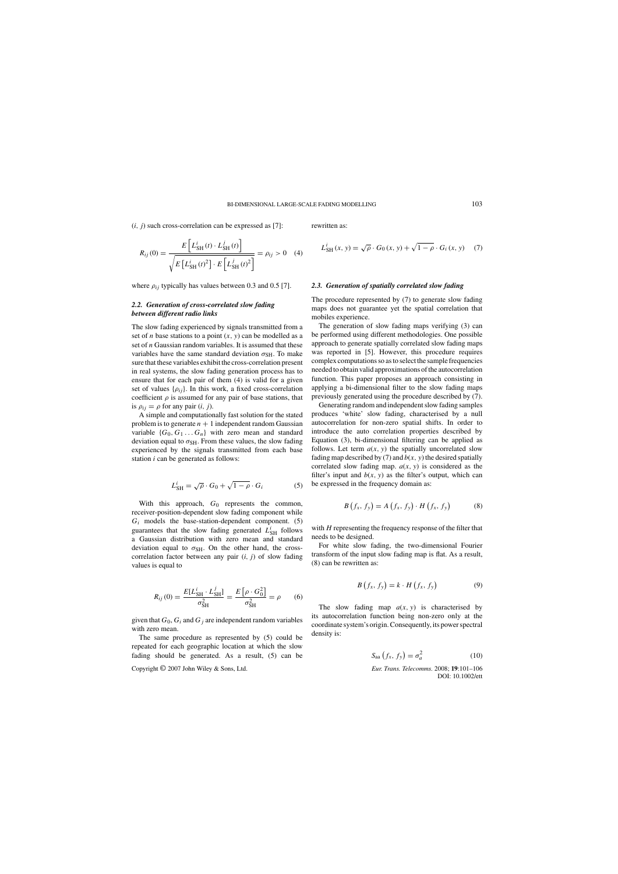$(i, j)$  such cross-correlation can be expressed as [7]:

$$
R_{ij}(0) = \frac{E\left[L_{\text{SH}}^{i}(t) \cdot L_{\text{SH}}^{j}(t)\right]}{\sqrt{E\left[L_{\text{SH}}^{i}(t)^{2}\right] \cdot E\left[L_{\text{SH}}^{j}(t)^{2}\right]}} = \rho_{ij} > 0 \quad (4)
$$

where  $\rho_{ij}$  typically has values between 0.3 and 0.5 [7].

# *2.2. Generation of cross-correlated slow fading between different radio links*

The slow fading experienced by signals transmitted from a set of *n* base stations to a point  $(x, y)$  can be modelled as a set of  $n$  Gaussian random variables. It is assumed that these variables have the same standard deviation  $\sigma_{\text{SH}}$ . To make sure that these variables exhibit the cross-correlation present in real systems, the slow fading generation process has to ensure that for each pair of them (4) is valid for a given set of values  $\{\rho_{ij}\}\$ . In this work, a fixed cross-correlation coefficient  $\rho$  is assumed for any pair of base stations, that is  $\rho_{ii} = \rho$  for any pair  $(i, j)$ .

A simple and computationally fast solution for the stated problem is to generate  $n + 1$  independent random Gaussian variable  $\{G_0, G_1 \dots G_n\}$  with zero mean and standard deviation equal to  $\sigma_{\text{SH}}$ . From these values, the slow fading experienced by the signals transmitted from each base station  $i$  can be generated as follows:

$$
L_{\text{SH}}^i = \sqrt{\rho} \cdot G_0 + \sqrt{1 - \rho} \cdot G_i \tag{5}
$$

With this approach,  $G_0$  represents the common, receiver-position-dependent slow fading component while  $G_i$  models the base-station-dependent component. (5) guarantees that the slow fading generated  $\overrightarrow{L}_{SH}^{i}$  follows a Gaussian distribution with zero mean and standard deviation equal to  $\sigma_{SH}$ . On the other hand, the crosscorrelation factor between any pair  $(i, j)$  of slow fading values is equal to

$$
R_{ij}(0) = \frac{E[L_{\text{SH}}^{i} \cdot L_{\text{SH}}^{j}]}{\sigma_{\text{SH}}^{2}} = \frac{E\left[\rho \cdot G_{0}^{2}\right]}{\sigma_{\text{SH}}^{2}} = \rho \qquad (6)
$$

given that  $G_0$ ,  $G_i$  and  $G_j$  are independent random variables with zero mean.

The same procedure as represented by (5) could be repeated for each geographic location at which the slow fading should be generated. As a result, (5) can be

Copyright © 2007 John Wiley & Sons, Ltd. *Eur. Trans. Telecomms.* 2008; **19**:101–106

rewritten as:

$$
L_{\text{SH}}^{i}(x, y) = \sqrt{\rho} \cdot G_{0}(x, y) + \sqrt{1 - \rho} \cdot G_{i}(x, y) \quad (7)
$$

#### *2.3. Generation of spatially correlated slow fading*

The procedure represented by (7) to generate slow fading maps does not guarantee yet the spatial correlation that mobiles experience.

The generation of slow fading maps verifying (3) can be performed using different methodologies. One possible approach to generate spatially correlated slow fading maps was reported in [5]. However, this procedure requires complex computations so as to select the sample frequencies needed to obtain valid approximations of the autocorrelation function. This paper proposes an approach consisting in applying a bi-dimensional filter to the slow fading maps previously generated using the procedure described by (7).

Generating random and independent slow fading samples produces 'white' slow fading, characterised by a null autocorrelation for non-zero spatial shifts. In order to introduce the auto correlation properties described by Equation (3), bi-dimensional filtering can be applied as follows. Let term  $a(x, y)$  the spatially uncorrelated slow fading map described by (7) and  $b(x, y)$  the desired spatially correlated slow fading map.  $a(x, y)$  is considered as the filter's input and  $b(x, y)$  as the filter's output, which can be expressed in the frequency domain as:

$$
B(f_x, f_y) = A(f_x, f_y) \cdot H(f_x, f_y)
$$
 (8)

with  $H$  representing the frequency response of the filter that needs to be designed.

For white slow fading, the two-dimensional Fourier transform of the input slow fading map is flat. As a result, (8) can be rewritten as:

$$
B(f_x, f_y) = k \cdot H(f_x, f_y) \tag{9}
$$

The slow fading map  $a(x, y)$  is characterised by its autocorrelation function being non-zero only at the coordinate system's origin. Consequently, its power spectral density is:

$$
S_{aa}(f_x, f_y) = \sigma_a^2 \tag{10}
$$

DOI: 10.1002/ett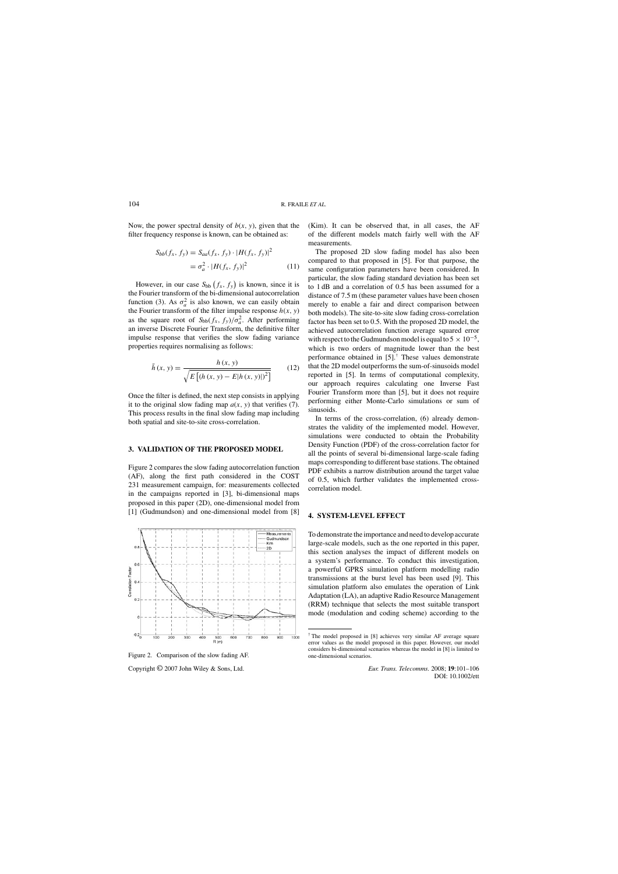Now, the power spectral density of  $b(x, y)$ , given that the filter frequency response is known, can be obtained as:

$$
S_{bb}(f_x, f_y) = S_{aa}(f_x, f_y) \cdot |H(f_x, f_y)|^2
$$
  
=  $\sigma_a^2 \cdot |H(f_x, f_y)|^2$  (11)

However, in our case  $S_{bb}(f_x, f_y)$  is known, since it is the Fourier transform of the bi-dimensional autocorrelation function (3). As  $\sigma_a^2$  is also known, we can easily obtain the Fourier transform of the filter impulse response  $h(x, y)$ as the square root of  $S_{bb}(f_x, f_y)/\sigma_a^2$ . After performing an inverse Discrete Fourier Transform, the definitive filter impulse response that verifies the slow fading variance properties requires normalising as follows:

$$
\bar{h}(x, y) = \frac{h(x, y)}{\sqrt{E\left[ (h(x, y) - E | h(x, y)|)^{2} \right]}}
$$
(12)

Once the filter is defined, the next step consists in applying it to the original slow fading map  $a(x, y)$  that verifies (7). This process results in the final slow fading map including both spatial and site-to-site cross-correlation.

## **3. VALIDATION OF THE PROPOSED MODEL**

Figure 2 compares the slow fading autocorrelation function (AF), along the first path considered in the COST 231 measurement campaign, for: measurements collected in the campaigns reported in [3], bi-dimensional maps proposed in this paper (2D), one-dimensional model from [1] (Gudmundson) and one-dimensional model from [8]



Figure 2. Comparison of the slow fading AF.

Copyright © 2007 John Wiley & Sons, Ltd. *Eur. Trans. Telecomms.* 2008; **19**:101–106

(Kim). It can be observed that, in all cases, the AF of the different models match fairly well with the AF measurements.

The proposed 2D slow fading model has also been compared to that proposed in [5]. For that purpose, the same configuration parameters have been considered. In particular, the slow fading standard deviation has been set to 1 dB and a correlation of 0.5 has been assumed for a distance of 7.5 m (these parameter values have been chosen merely to enable a fair and direct comparison between both models). The site-to-site slow fading cross-correlation factor has been set to 0.5. With the proposed 2D model, the achieved autocorrelation function average squared error with respect to the Gudmundson model is equal to  $5 \times 10^{-5}$ , which is two orders of magnitude lower than the best performance obtained in [5].† These values demonstrate that the 2D model outperforms the sum-of-sinusoids model reported in [5]. In terms of computational complexity, our approach requires calculating one Inverse Fast Fourier Transform more than [5], but it does not require performing either Monte-Carlo simulations or sum of sinusoids.

In terms of the cross-correlation, (6) already demonstrates the validity of the implemented model. However, simulations were conducted to obtain the Probability Density Function (PDF) of the cross-correlation factor for all the points of several bi-dimensional large-scale fading maps corresponding to different base stations. The obtained PDF exhibits a narrow distribution around the target value of 0.5, which further validates the implemented crosscorrelation model.

## **4. SYSTEM-LEVEL EFFECT**

To demonstrate the importance and need to develop accurate large-scale models, such as the one reported in this paper, this section analyses the impact of different models on a system's performance. To conduct this investigation, a powerful GPRS simulation platform modelling radio transmissions at the burst level has been used [9]. This simulation platform also emulates the operation of Link Adaptation (LA), an adaptive Radio Resource Management (RRM) technique that selects the most suitable transport mode (modulation and coding scheme) according to the

<sup>†</sup> The model proposed in [8] achieves very similar AF average square error values as the model proposed in this paper. However, our model considers bi-dimensional scenarios whereas the model in [8] is limited to one-dimensional scenarios.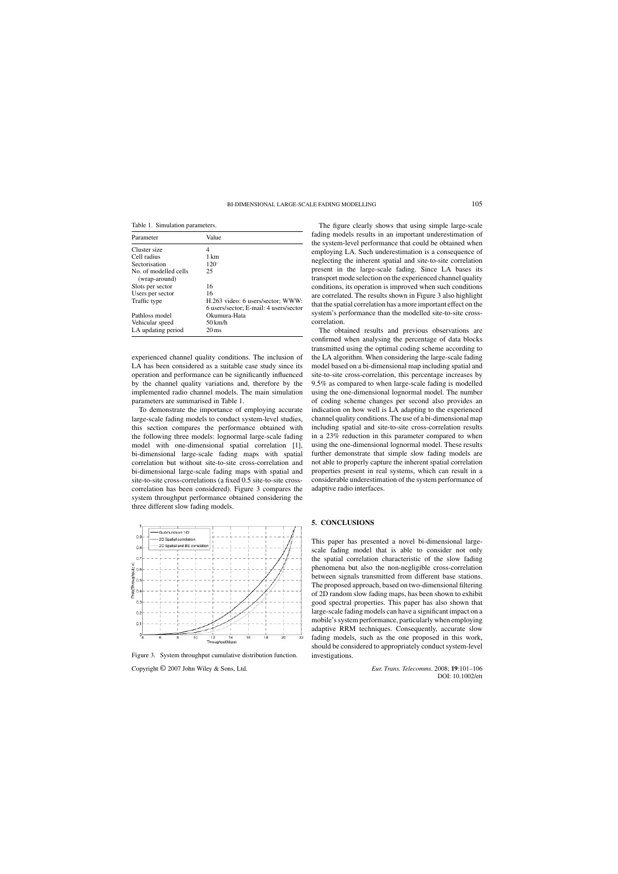Table 1. Simulation parameters.

| Parameter                              | Value                                                                       |
|----------------------------------------|-----------------------------------------------------------------------------|
| Cluster size                           | 4                                                                           |
| Cell radius                            | 1 km                                                                        |
| Sectorisation                          | $120^\circ$                                                                 |
| No. of modelled cells<br>(wrap-around) | 25                                                                          |
| Slots per sector                       | 16                                                                          |
| Users per sector                       | 16                                                                          |
| Traffic type                           | H.263 video: 6 users/sector; WWW:<br>6 users/sector; E-mail: 4 users/sector |
| Pathloss model                         | Okumura-Hata                                                                |
| Vehicular speed                        | 50 km/h                                                                     |
| LA updating period                     | $20 \,\mathrm{ms}$                                                          |

experienced channel quality conditions. The inclusion of LA has been considered as a suitable case study since its operation and performance can be significantly influenced by the channel quality variations and, therefore by the implemented radio channel models. The main simulation parameters are summarised in Table 1.

To demonstrate the importance of employing accurate large-scale fading models to conduct system-level studies, this section compares the performance obtained with the following three models: lognormal large-scale fading model with one-dimensional spatial correlation [1], bi-dimensional large-scale fading maps with spatial correlation but without site-to-site cross-correlation and bi-dimensional large-scale fading maps with spatial and site-to-site cross-correlations (a fixed 0.5 site-to-site crosscorrelation has been considered). Figure 3 compares the system throughput performance obtained considering the three different slow fading models.



Figure 3. System throughput cumulative distribution function.

Copyright © 2007 John Wiley & Sons, Ltd. *Eur. Trans. Telecomms.* 2008; **19**:101–106

The figure clearly shows that using simple large-scale fading models results in an important underestimation of the system-level performance that could be obtained when employing LA. Such underestimation is a consequence of neglecting the inherent spatial and site-to-site correlation present in the large-scale fading. Since LA bases its transport mode selection on the experienced channel quality conditions, its operation is improved when such conditions are correlated. The results shown in Figure 3 also highlight that the spatial correlation has a more important effect on the system's performance than the modelled site-to-site crosscorrelation.

The obtained results and previous observations are confirmed when analysing the percentage of data blocks transmitted using the optimal coding scheme according to the LA algorithm. When considering the large-scale fading model based on a bi-dimensional map including spatial and site-to-site cross-correlation, this percentage increases by 9.5% as compared to when large-scale fading is modelled using the one-dimensional lognormal model. The number of coding scheme changes per second also provides an indication on how well is LA adapting to the experienced channel quality conditions. The use of a bi-dimensional map including spatial and site-to-site cross-correlation results in a 23% reduction in this parameter compared to when using the one-dimensional lognormal model. These results further demonstrate that simple slow fading models are not able to properly capture the inherent spatial correlation properties present in real systems, which can result in a considerable underestimation of the system performance of adaptive radio interfaces.

## **5. CONCLUSIONS**

This paper has presented a novel bi-dimensional largescale fading model that is able to consider not only the spatial correlation characteristic of the slow fading phenomena but also the non-negligible cross-correlation between signals transmitted from different base stations. The proposed approach, based on two-dimensional filtering of 2D random slow fading maps, has been shown to exhibit good spectral properties. This paper has also shown that large-scale fading models can have a significant impact on a mobile's system performance, particularly when employing adaptive RRM techniques. Consequently, accurate slow fading models, such as the one proposed in this work, should be considered to appropriately conduct system-level investigations.

DOI: 10.1002/ett